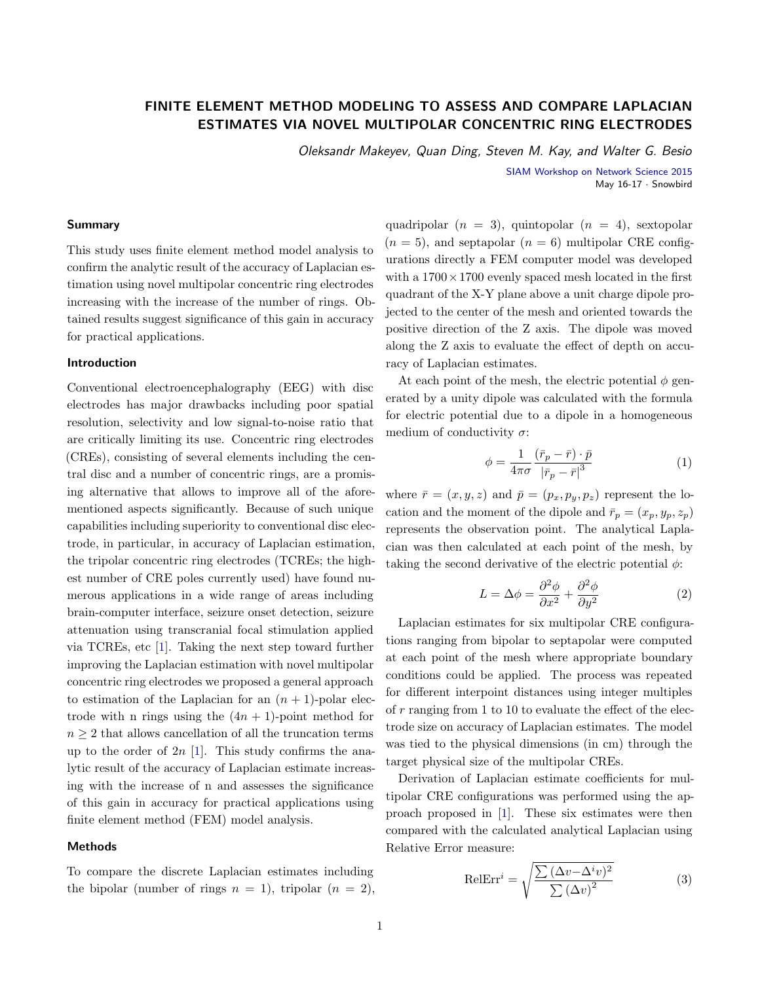# **FINITE ELEMENT METHOD MODELING TO ASSESS AND COMPARE LAPLACIAN ESTIMATES VIA NOVEL MULTIPOLAR CONCENTRIC RING ELECTRODES**

Oleksandr Makeyev, Quan Ding, Steven M. Kay, and Walter G. Besio

SIAM Workshop on Network Science 2015 May 16-17 · Snowbird

## **Summary**

This study uses finite element method model analysis to confirm the analytic result of the accuracy of Laplacian estimation using novel multipolar concentric ring electrodes increasing with the increase of the number of rings. Obtained results suggest significance of this gain in accuracy for practical applications.

## **Introduction**

Conventional electroencephalography (EEG) with disc electrodes has major drawbacks including poor spatial resolution, selectivity and low signal-to-noise ratio that are critically limiting its use. Concentric ring electrodes (CREs), consisting of several elements including the central disc and a number of concentric rings, are a promising alternative that allows to improve all of the aforementioned aspects significantly. Because of such unique capabilities including superiority to conventional disc electrode, in particular, in accuracy of Laplacian estimation, the tripolar concentric ring electrodes (TCREs; the highest number of CRE poles currently used) have found numerous applications in a wide range of areas including brain-computer interface, seizure onset detection, seizure attenuation using transcranial focal stimulation applied via TCREs, etc [\[1\]](#page-1-0). Taking the next step toward further improving the Laplacian estimation with novel multipolar concentric ring electrodes we proposed a general approach to estimation of the Laplacian for an  $(n + 1)$ -polar electrode with n rings using the  $(4n + 1)$ -point method for  $n \geq 2$  that allows cancellation of all the truncation terms up to the order of  $2n$  [\[1\]](#page-1-0). This study confirms the analytic result of the accuracy of Laplacian estimate increasing with the increase of n and assesses the significance of this gain in accuracy for practical applications using finite element method (FEM) model analysis.

## **Methods**

To compare the discrete Laplacian estimates including the bipolar (number of rings  $n = 1$ ), tripolar  $(n = 2)$ , quadripolar  $(n = 3)$ , quintopolar  $(n = 4)$ , sextopolar  $(n = 5)$ , and septapolar  $(n = 6)$  multipolar CRE configurations directly a FEM computer model was developed with a  $1700 \times 1700$  evenly spaced mesh located in the first quadrant of the X-Y plane above a unit charge dipole projected to the center of the mesh and oriented towards the positive direction of the Z axis. The dipole was moved along the Z axis to evaluate the effect of depth on accuracy of Laplacian estimates.

At each point of the mesh, the electric potential  $\phi$  generated by a unity dipole was calculated with the formula for electric potential due to a dipole in a homogeneous medium of conductivity  $\sigma$ :

$$
\phi = \frac{1}{4\pi\sigma} \frac{(\bar{r}_p - \bar{r}) \cdot \bar{p}}{|\bar{r}_p - \bar{r}|^3}
$$
(1)

where  $\bar{r} = (x, y, z)$  and  $\bar{p} = (p_x, p_y, p_z)$  represent the location and the moment of the dipole and  $\bar{r}_p = (x_p, y_p, z_p)$ represents the observation point. The analytical Laplacian was then calculated at each point of the mesh, by taking the second derivative of the electric potential  $\phi$ :

$$
L = \Delta \phi = \frac{\partial^2 \phi}{\partial x^2} + \frac{\partial^2 \phi}{\partial y^2}
$$
 (2)

Laplacian estimates for six multipolar CRE configurations ranging from bipolar to septapolar were computed at each point of the mesh where appropriate boundary conditions could be applied. The process was repeated for different interpoint distances using integer multiples of r ranging from 1 to 10 to evaluate the effect of the electrode size on accuracy of Laplacian estimates. The model was tied to the physical dimensions (in cm) through the target physical size of the multipolar CREs.

Derivation of Laplacian estimate coefficients for multipolar CRE configurations was performed using the approach proposed in [\[1\]](#page-1-0). These six estimates were then compared with the calculated analytical Laplacian using Relative Error measure:

$$
\text{RelErr}^i = \sqrt{\frac{\sum (\Delta v - \Delta^i v)^2}{\sum (\Delta v)^2}}
$$
(3)